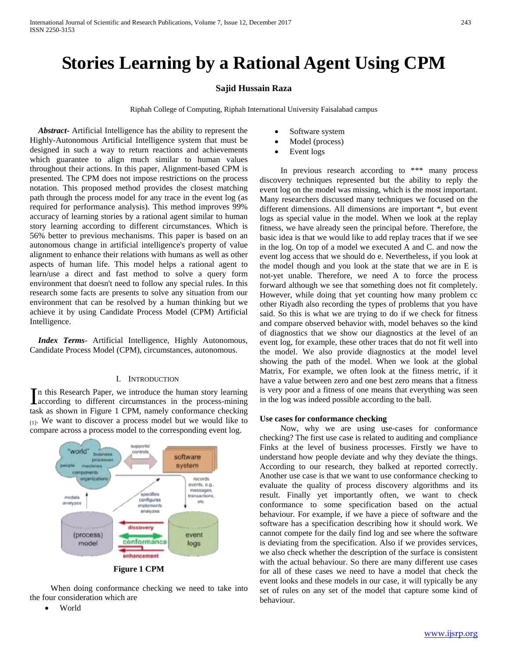# **Stories Learning by a Rational Agent Using CPM**

# **Sajid Hussain Raza**

Riphah College of Computing, Riphah International University Faisalabad campus

 *Abstract***-** Artificial Intelligence has the ability to represent the Highly-Autonomous Artificial Intelligence system that must be designed in such a way to return reactions and achievements which guarantee to align much similar to human values throughout their actions. In this paper, Alignment-based CPM is presented. The CPM does not impose restrictions on the process notation. This proposed method provides the closest matching path through the process model for any trace in the event log (as required for performance analysis). This method improves 99% accuracy of learning stories by a rational agent similar to human story learning according to different circumstances. Which is 56% better to previous mechanisms. This paper is based on an autonomous change in artificial intelligence's property of value alignment to enhance their relations with humans as well as other aspects of human life. This model helps a rational agent to learn/use a direct and fast method to solve a query form environment that doesn't need to follow any special rules. In this research some facts are presents to solve any situation from our environment that can be resolved by a human thinking but we achieve it by using Candidate Process Model (CPM) Artificial Intelligence.

 *Index Terms*- Artificial Intelligence, Highly Autonomous, Candidate Process Model (CPM), circumstances, autonomous.

## I. INTRODUCTION

n this Research Paper, we introduce the human story learning In this Research Paper, we introduce the human story learning<br>according to different circumstances in the process-mining task as shown in [Figure 1 CPM,](#page-0-0) namely conformance checking [1]. We want to discover a process model but we would like to compare across a process model to the corresponding event log.



<span id="page-0-0"></span> When doing conformance checking we need to take into the four consideration which are

• World

- Software system
- Model (process)
- Event logs

 In previous research according to \*\*\* many process discovery techniques represented but the ability to reply the event log on the model was missing, which is the most important. Many researchers discussed many techniques we focused on the different dimensions. All dimensions are important \*, but event logs as special value in the model. When we look at the replay fitness, we have already seen the principal before. Therefore, the basic idea is that we would like to add replay traces that if we see in the log. On top of a model we executed A and C. and now the event log access that we should do e. Nevertheless, if you look at the model though and you look at the state that we are in E is not-yet unable. Therefore, we need A to force the process forward although we see that something does not fit completely. However, while doing that yet counting how many problem cc other Riyadh also recording the types of problems that you have said. So this is what we are trying to do if we check for fitness and compare observed behavior with, model behaves so the kind of diagnostics that we show our diagnostics at the level of an event log, for example, these other traces that do not fit well into the model. We also provide diagnostics at the model level showing the path of the model. When we look at the global Matrix, For example, we often look at the fitness metric, if it have a value between zero and one best zero means that a fitness is very poor and a fitness of one means that everything was seen in the log was indeed possible according to the ball.

## **Use cases for conformance checking**

 Now, why we are using use-cases for conformance checking? The first use case is related to auditing and compliance Finks at the level of business processes. Firstly we have to understand how people deviate and why they deviate the things. According to our research, they balked at reported correctly. Another use case is that we want to use conformance checking to evaluate the quality of process discovery algorithms and its result. Finally yet importantly often, we want to check conformance to some specification based on the actual behaviour. For example, if we have a piece of software and the software has a specification describing how it should work. We cannot compete for the daily find log and see where the software is deviating from the specification. Also if we provides services, we also check whether the description of the surface is consistent with the actual behaviour. So there are many different use cases for all of these cases we need to have a model that check the event looks and these models in our case, it will typically be any set of rules on any set of the model that capture some kind of behaviour.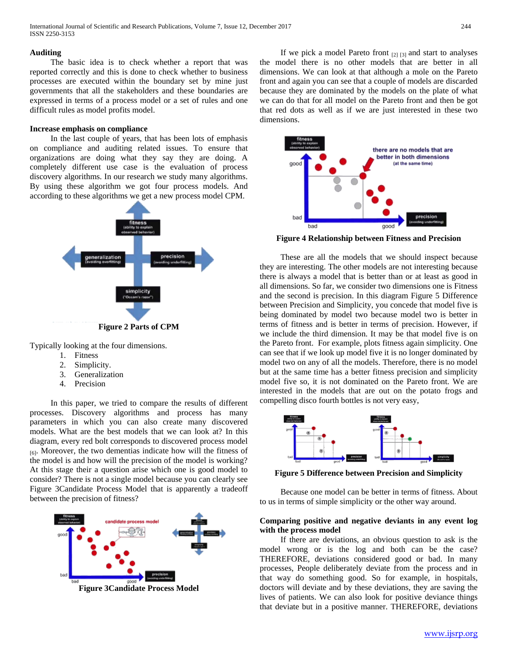#### **Auditing**

 The basic idea is to check whether a report that was reported correctly and this is done to check whether to business processes are executed within the boundary set by mine just governments that all the stakeholders and these boundaries are expressed in terms of a process model or a set of rules and one difficult rules as model profits model.

### **Increase emphasis on compliance**

 In the last couple of years, that has been lots of emphasis on compliance and auditing related issues. To ensure that organizations are doing what they say they are doing. A completely different use case is the evaluation of process discovery algorithms. In our research we study many algorithms. By using these algorithm we got four process models. And according to these algorithms we get a new process model CPM.



Typically looking at the four dimensions.

- 1. Fitness
- 2. Simplicity.
- 3. Generalization
- 4. Precision

 In this paper, we tried to compare the results of different processes. Discovery algorithms and process has many parameters in which you can also create many discovered models. What are the best models that we can look at? In this diagram, every red bolt corresponds to discovered process model [6]. Moreover, the two dementias indicate how will the fitness of the model is and how will the precision of the model is working? At this stage their a question arise which one is good model to consider? There is not a single model because you can clearly see [Figure 3Candidate Process Model](#page-1-0) that is apparently a tradeoff between the precision of fitness?

<span id="page-1-0"></span>

If we pick a model Pareto front  $_{[2] [3]}$  and start to analyses the model there is no other models that are better in all dimensions. We can look at that although a mole on the Pareto front and again you can see that a couple of models are discarded because they are dominated by the models on the plate of what we can do that for all model on the Pareto front and then be got that red dots as well as if we are just interested in these two dimensions.



**Figure 4 Relationship between Fitness and Precision**

 These are all the models that we should inspect because they are interesting. The other models are not interesting because there is always a model that is better than or at least as good in all dimensions. So far, we consider two dimensions one is Fitness and the second is precision. In this diagram [Figure 5 Difference](#page-1-1)  [between Precision and Simplicity,](#page-1-1) you concede that model five is being dominated by model two because model two is better in terms of fitness and is better in terms of precision. However, if we include the third dimension. It may be that model five is on the Pareto front. For example, plots fitness again simplicity. One can see that if we look up model five it is no longer dominated by model two on any of all the models. Therefore, there is no model but at the same time has a better fitness precision and simplicity model five so, it is not dominated on the Pareto front. We are interested in the models that are out on the potato frogs and compelling disco fourth bottles is not very easy,



<span id="page-1-1"></span>**Figure 5 Difference between Precision and Simplicity**

 Because one model can be better in terms of fitness. About to us in terms of simple simplicity or the other way around.

# **Comparing positive and negative deviants in any event log with the process model**

 If there are deviations, an obvious question to ask is the model wrong or is the log and both can be the case? THEREFORE, deviations considered good or bad. In many processes, People deliberately deviate from the process and in that way do something good. So for example, in hospitals, doctors will deviate and by these deviations, they are saving the lives of patients. We can also look for positive deviance things that deviate but in a positive manner. THEREFORE, deviations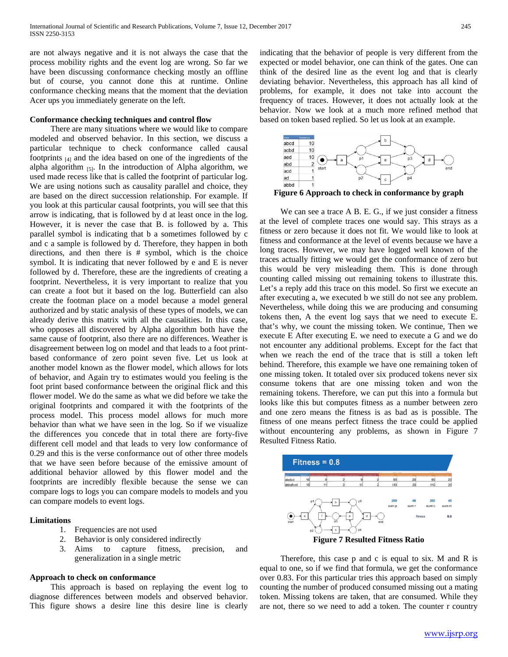are not always negative and it is not always the case that the process mobility rights and the event log are wrong. So far we have been discussing conformance checking mostly an offline but of course, you cannot done this at runtime. Online conformance checking means that the moment that the deviation Acer ups you immediately generate on the left.

#### **Conformance checking techniques and control flow**

 There are many situations where we would like to compare modeled and observed behavior. In this section, we discuss a particular technique to check conformance called causal footprints [4] and the idea based on one of the ingredients of the alpha algorithm  $_{[5]}$ . In the introduction of Alpha algorithm, we used made recess like that is called the footprint of particular log. We are using notions such as causality parallel and choice, they are based on the direct succession relationship. For example. If you look at this particular causal footprints, you will see that this arrow is indicating, that is followed by d at least once in the log. However, it is never the case that B. is followed by a. This parallel symbol is indicating that b a sometimes followed by c and c a sample is followed by d. Therefore, they happen in both directions, and then there is # symbol, which is the choice symbol. It is indicating that never followed by e and E is never followed by d. Therefore, these are the ingredients of creating a footprint. Nevertheless, it is very important to realize that you can create a foot but it based on the log. Butterfield can also create the footman place on a model because a model general authorized and by static analysis of these types of models, we can already derive this matrix with all the causalities. In this case, who opposes all discovered by Alpha algorithm both have the same cause of footprint, also there are no differences. Weather is disagreement between log on model and that leads to a foot printbased conformance of zero point seven five. Let us look at another model known as the flower model, which allows for lots of behavior, and Again try to estimates would you feeling is the foot print based conformance between the original flick and this flower model. We do the same as what we did before we take the original footprints and compared it with the footprints of the process model. This process model allows for much more behavior than what we have seen in the log. So if we visualize the differences you concede that in total there are forty-five different cell model and that leads to very low conformance of 0.29 and this is the verse conformance out of other three models that we have seen before because of the emissive amount of additional behavior allowed by this flower model and the footprints are incredibly flexible because the sense we can compare logs to logs you can compare models to models and you can compare models to event logs.

## **Limitations**

- 1. Frequencies are not used
- 2. Behavior is only considered indirectly
- 3. Aims to capture fitness, precision, and generalization in a single metric

#### **Approach to check on conformance**

 This approach is based on replaying the event log to diagnose differences between models and observed behavior. This figure shows a desire line this desire line is clearly indicating that the behavior of people is very different from the expected or model behavior, one can think of the gates. One can think of the desired line as the event log and that is clearly deviating behavior. Nevertheless, this approach has all kind of problems, for example, it does not take into account the frequency of traces. However, it does not actually look at the behavior. Now we look at a much more refined method that based on token based replied. So let us look at an example.



**Figure 6 Approach to check in conformance by graph**

We can see a trace A B. E. G., if we just consider a fitness at the level of complete traces one would say. This strays as a fitness or zero because it does not fit. We would like to look at fitness and conformance at the level of events because we have a long traces. However, we may have logged well known of the traces actually fitting we would get the conformance of zero but this would be very misleading them. This is done through counting called missing out remaining tokens to illustrate this. Let's a reply add this trace on this model. So first we execute an after executing a, we executed b we still do not see any problem. Nevertheless, while doing this we are producing and consuming tokens then, A the event log says that we need to execute E. that's why, we count the missing token. We continue, Then we execute E After executing E. we need to execute a G and we do not encounter any additional problems. Except for the fact that when we reach the end of the trace that is still a token left behind. Therefore, this example we have one remaining token of one missing token. It totaled over six produced tokens never six consume tokens that are one missing token and won the remaining tokens. Therefore, we can put this into a formula but looks like this but computes fitness as a number between zero and one zero means the fitness is as bad as is possible. The fitness of one means perfect fitness the trace could be applied without encountering any problems, as shown in Figure 7 [Resulted Fitness Ratio.](#page-2-0)



<span id="page-2-0"></span> Therefore, this case p and c is equal to six. M and R is equal to one, so if we find that formula, we get the conformance over 0.83. For this particular tries this approach based on simply counting the number of produced consumed missing out a mating token. Missing tokens are taken, that are consumed. While they are not, there so we need to add a token. The counter r country